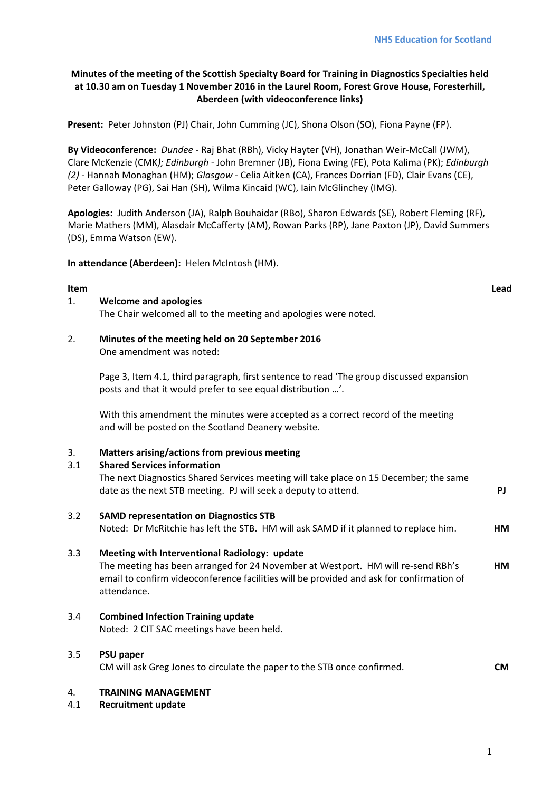# **Minutes of the meeting of the Scottish Specialty Board for Training in Diagnostics Specialties held at 10.30 am on Tuesday 1 November 2016 in the Laurel Room, Forest Grove House, Foresterhill, Aberdeen (with videoconference links)**

**Present:** Peter Johnston (PJ) Chair, John Cumming (JC), Shona Olson (SO), Fiona Payne (FP).

**By Videoconference:** *Dundee ‐* Raj Bhat (RBh), Vicky Hayter (VH), Jonathan Weir‐McCall (JWM), Clare McKenzie (CMK*); Edinburgh ‐* John Bremner (JB), Fiona Ewing (FE), Pota Kalima (PK); *Edinburgh (2)* ‐ Hannah Monaghan (HM); *Glasgow* ‐ Celia Aitken (CA), Frances Dorrian (FD), Clair Evans (CE), Peter Galloway (PG), Sai Han (SH), Wilma Kincaid (WC), Iain McGlinchey (IMG).

**Apologies:** Judith Anderson (JA), Ralph Bouhaidar (RBo), Sharon Edwards (SE), Robert Fleming (RF), Marie Mathers (MM), Alasdair McCafferty (AM), Rowan Parks (RP), Jane Paxton (JP), David Summers (DS), Emma Watson (EW).

**In attendance (Aberdeen):** Helen McIntosh (HM).

# **Item Lead**

## 1. **Welcome and apologies**

The Chair welcomed all to the meeting and apologies were noted.

2. **Minutes of the meeting held on 20 September 2016** One amendment was noted:

> Page 3, Item 4.1, third paragraph, first sentence to read 'The group discussed expansion posts and that it would prefer to see equal distribution …'.

With this amendment the minutes were accepted as a correct record of the meeting and will be posted on the Scotland Deanery website.

# 3. **Matters arising/actions from previous meeting**

# 3.1 **Shared Services information**

The next Diagnostics Shared Services meeting will take place on 15 December; the same date as the next STB meeting. PJ will seek a deputy to attend. **PJ**

## 3.2 **SAMD representation on Diagnostics STB**

Noted: Dr McRitchie has left the STB. HM will ask SAMD if it planned to replace him. **HM**

# 3.3 **Meeting with Interventional Radiology: update**

The meeting has been arranged for 24 November at Westport. HM will re-send RBh's email to confirm videoconference facilities will be provided and ask for confirmation of attendance. **HM**

3.4 **Combined Infection Training update** 

Noted: 2 CIT SAC meetings have been held.

3.5 **PSU paper**

CM will ask Greg Jones to circulate the paper to the STB once confirmed. **CM**

## 4. **TRAINING MANAGEMENT**

4.1 **Recruitment update**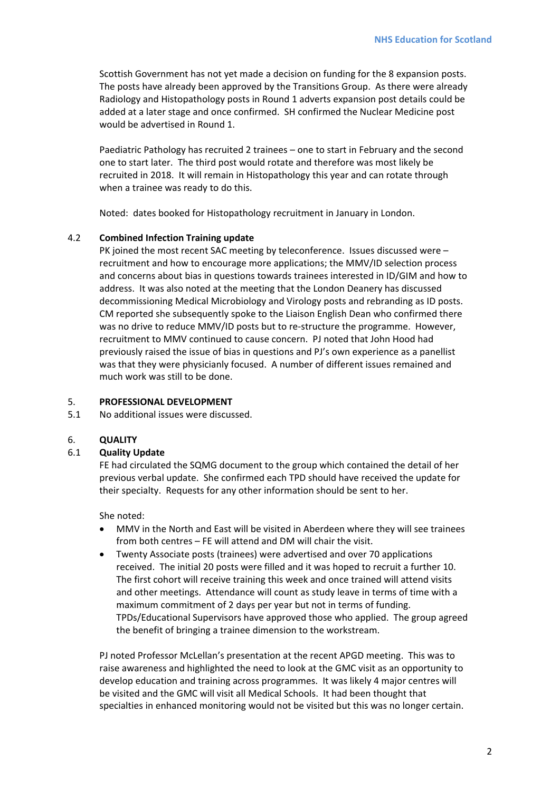Scottish Government has not yet made a decision on funding for the 8 expansion posts. The posts have already been approved by the Transitions Group. As there were already Radiology and Histopathology posts in Round 1 adverts expansion post details could be added at a later stage and once confirmed. SH confirmed the Nuclear Medicine post would be advertised in Round 1.

Paediatric Pathology has recruited 2 trainees – one to start in February and the second one to start later. The third post would rotate and therefore was most likely be recruited in 2018. It will remain in Histopathology this year and can rotate through when a trainee was ready to do this.

Noted: dates booked for Histopathology recruitment in January in London.

## 4.2 **Combined Infection Training update**

PK joined the most recent SAC meeting by teleconference. Issues discussed were – recruitment and how to encourage more applications; the MMV/ID selection process and concerns about bias in questions towards trainees interested in ID/GIM and how to address. It was also noted at the meeting that the London Deanery has discussed decommissioning Medical Microbiology and Virology posts and rebranding as ID posts. CM reported she subsequently spoke to the Liaison English Dean who confirmed there was no drive to reduce MMV/ID posts but to re-structure the programme. However, recruitment to MMV continued to cause concern. PJ noted that John Hood had previously raised the issue of bias in questions and PJ's own experience as a panellist was that they were physicianly focused. A number of different issues remained and much work was still to be done.

## 5. **PROFESSIONAL DEVELOPMENT**

5.1 No additional issues were discussed.

## 6. **QUALITY**

## 6.1 **Quality Update**

FE had circulated the SQMG document to the group which contained the detail of her previous verbal update. She confirmed each TPD should have received the update for their specialty. Requests for any other information should be sent to her.

She noted:

- MMV in the North and East will be visited in Aberdeen where they will see trainees from both centres – FE will attend and DM will chair the visit.
- Twenty Associate posts (trainees) were advertised and over 70 applications received. The initial 20 posts were filled and it was hoped to recruit a further 10. The first cohort will receive training this week and once trained will attend visits and other meetings. Attendance will count as study leave in terms of time with a maximum commitment of 2 days per year but not in terms of funding. TPDs/Educational Supervisors have approved those who applied. The group agreed the benefit of bringing a trainee dimension to the workstream.

PJ noted Professor McLellan's presentation at the recent APGD meeting. This was to raise awareness and highlighted the need to look at the GMC visit as an opportunity to develop education and training across programmes. It was likely 4 major centres will be visited and the GMC will visit all Medical Schools. It had been thought that specialties in enhanced monitoring would not be visited but this was no longer certain.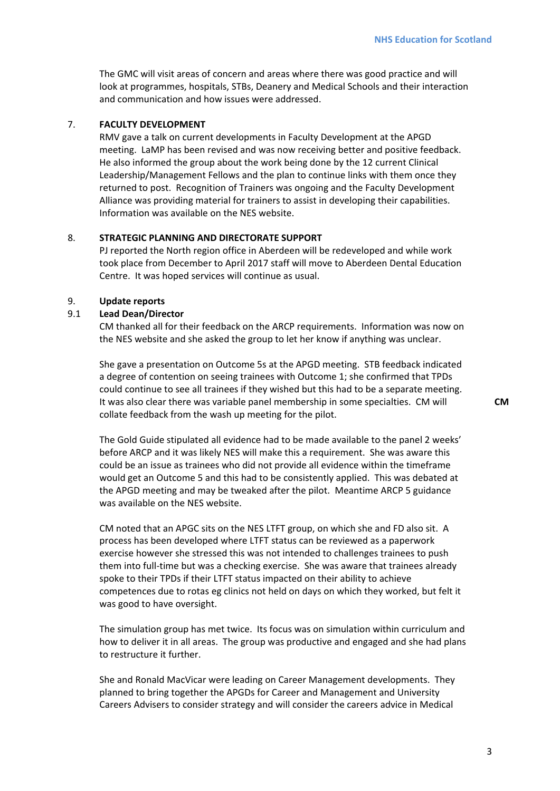The GMC will visit areas of concern and areas where there was good practice and will look at programmes, hospitals, STBs, Deanery and Medical Schools and their interaction and communication and how issues were addressed.

## 7. **FACULTY DEVELOPMENT**

RMV gave a talk on current developments in Faculty Development at the APGD meeting. LaMP has been revised and was now receiving better and positive feedback. He also informed the group about the work being done by the 12 current Clinical Leadership/Management Fellows and the plan to continue links with them once they returned to post. Recognition of Trainers was ongoing and the Faculty Development Alliance was providing material for trainers to assist in developing their capabilities. Information was available on the NES website.

## 8. **STRATEGIC PLANNING AND DIRECTORATE SUPPORT**

PJ reported the North region office in Aberdeen will be redeveloped and while work took place from December to April 2017 staff will move to Aberdeen Dental Education Centre. It was hoped services will continue as usual.

## 9. **Update reports**

## 9.1 **Lead Dean/Director**

CM thanked all for their feedback on the ARCP requirements. Information was now on the NES website and she asked the group to let her know if anything was unclear.

She gave a presentation on Outcome 5s at the APGD meeting. STB feedback indicated a degree of contention on seeing trainees with Outcome 1; she confirmed that TPDs could continue to see all trainees if they wished but this had to be a separate meeting. It was also clear there was variable panel membership in some specialties. CM will collate feedback from the wash up meeting for the pilot.

The Gold Guide stipulated all evidence had to be made available to the panel 2 weeks' before ARCP and it was likely NES will make this a requirement. She was aware this could be an issue as trainees who did not provide all evidence within the timeframe would get an Outcome 5 and this had to be consistently applied. This was debated at the APGD meeting and may be tweaked after the pilot. Meantime ARCP 5 guidance was available on the NES website.

CM noted that an APGC sits on the NES LTFT group, on which she and FD also sit. A process has been developed where LTFT status can be reviewed as a paperwork exercise however she stressed this was not intended to challenges trainees to push them into full‐time but was a checking exercise. She was aware that trainees already spoke to their TPDs if their LTFT status impacted on their ability to achieve competences due to rotas eg clinics not held on days on which they worked, but felt it was good to have oversight.

The simulation group has met twice. Its focus was on simulation within curriculum and how to deliver it in all areas. The group was productive and engaged and she had plans to restructure it further.

She and Ronald MacVicar were leading on Career Management developments. They planned to bring together the APGDs for Career and Management and University Careers Advisers to consider strategy and will consider the careers advice in Medical

**CM**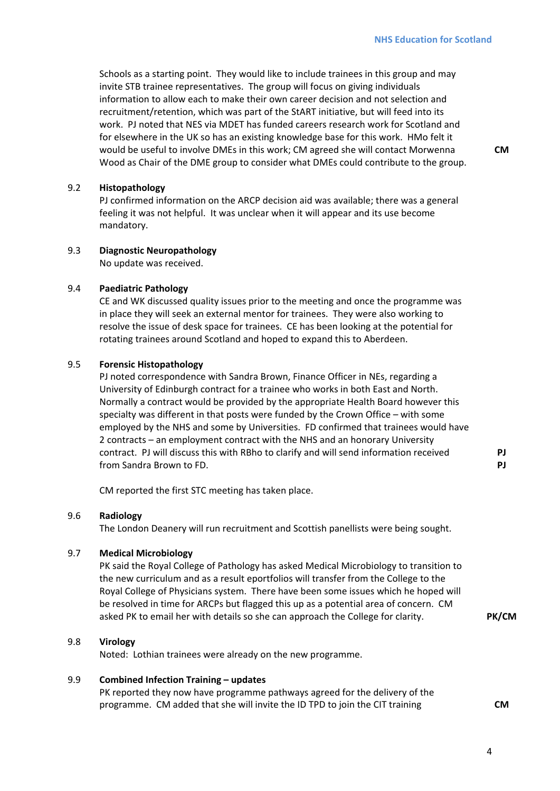Schools as a starting point. They would like to include trainees in this group and may invite STB trainee representatives. The group will focus on giving individuals information to allow each to make their own career decision and not selection and recruitment/retention, which was part of the StART initiative, but will feed into its work. PJ noted that NES via MDET has funded careers research work for Scotland and for elsewhere in the UK so has an existing knowledge base for this work. HMo felt it would be useful to involve DMEs in this work; CM agreed she will contact Morwenna Wood as Chair of the DME group to consider what DMEs could contribute to the group.

**CM**

## 9.2 **Histopathology**

PJ confirmed information on the ARCP decision aid was available; there was a general feeling it was not helpful. It was unclear when it will appear and its use become mandatory.

## 9.3 **Diagnostic Neuropathology**

No update was received.

#### 9.4 **Paediatric Pathology**

CE and WK discussed quality issues prior to the meeting and once the programme was in place they will seek an external mentor for trainees. They were also working to resolve the issue of desk space for trainees. CE has been looking at the potential for rotating trainees around Scotland and hoped to expand this to Aberdeen.

## 9.5 **Forensic Histopathology**

PJ noted correspondence with Sandra Brown, Finance Officer in NEs, regarding a University of Edinburgh contract for a trainee who works in both East and North. Normally a contract would be provided by the appropriate Health Board however this specialty was different in that posts were funded by the Crown Office – with some employed by the NHS and some by Universities. FD confirmed that trainees would have 2 contracts – an employment contract with the NHS and an honorary University contract. PJ will discuss this with RBho to clarify and will send information received from Sandra Brown to FD.

**PJ PJ**

CM reported the first STC meeting has taken place.

## 9.6 **Radiology**

The London Deanery will run recruitment and Scottish panellists were being sought.

## 9.7 **Medical Microbiology**

PK said the Royal College of Pathology has asked Medical Microbiology to transition to the new curriculum and as a result eportfolios will transfer from the College to the Royal College of Physicians system. There have been some issues which he hoped will be resolved in time for ARCPs but flagged this up as a potential area of concern. CM asked PK to email her with details so she can approach the College for clarity. **PK/CM**

## 9.8 **Virology**

Noted: Lothian trainees were already on the new programme.

#### 9.9 **Combined Infection Training – updates**

PK reported they now have programme pathways agreed for the delivery of the programme. CM added that she will invite the ID TPD to join the CIT training **CM**

4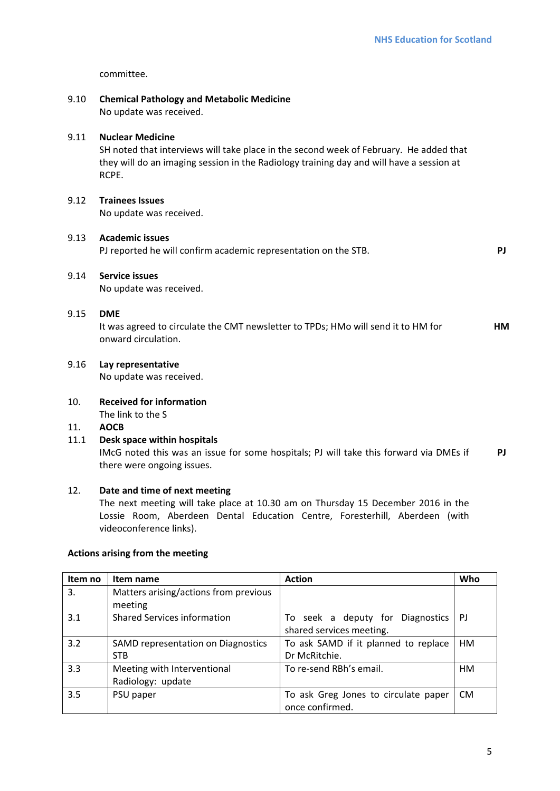committee.

# 9.10 **Chemical Pathology and Metabolic Medicine** No update was received. 9.11 **Nuclear Medicine** SH noted that interviews will take place in the second week of February. He added that they will do an imaging session in the Radiology training day and will have a session at RCPE. 9.12 **Trainees Issues** No update was received. 9.13 **Academic issues**  PJ reported he will confirm academic representation on the STB. **PJ** 9.14 **Service issues** No update was received. 9.15 **DME** It was agreed to circulate the CMT newsletter to TPDs; HMo will send it to HM for onward circulation. **HM** 9.16 **Lay representative**  No update was received. 10. **Received for information** The link to the S 11. **AOCB** 11.1 **Desk space within hospitals**

IMcG noted this was an issue for some hospitals; PJ will take this forward via DMEs if there were ongoing issues. **PJ**

# 12. **Date and time of next meeting**

The next meeting will take place at 10.30 am on Thursday 15 December 2016 in the Lossie Room, Aberdeen Dental Education Centre, Foresterhill, Aberdeen (with videoconference links).

## **Actions arising from the meeting**

| Item no | Item name                                        | <b>Action</b>                                                | Who       |
|---------|--------------------------------------------------|--------------------------------------------------------------|-----------|
| 3.      | Matters arising/actions from previous<br>meeting |                                                              |           |
| 3.1     | <b>Shared Services information</b>               | To seek a deputy for Diagnostics<br>shared services meeting. | PJ        |
| 3.2     | SAMD representation on Diagnostics               | To ask SAMD if it planned to replace                         | <b>HM</b> |
|         | <b>STB</b>                                       | Dr McRitchie.                                                |           |
| 3.3     | Meeting with Interventional                      | To re-send RBh's email.                                      | HМ        |
|         | Radiology: update                                |                                                              |           |
| 3.5     | PSU paper                                        | To ask Greg Jones to circulate paper                         | <b>CM</b> |
|         |                                                  | once confirmed.                                              |           |